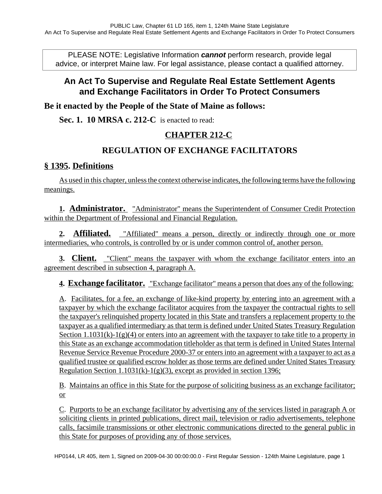PLEASE NOTE: Legislative Information **cannot** perform research, provide legal advice, or interpret Maine law. For legal assistance, please contact a qualified attorney.

# **An Act To Supervise and Regulate Real Estate Settlement Agents and Exchange Facilitators in Order To Protect Consumers**

**Be it enacted by the People of the State of Maine as follows:**

**Sec. 1. 10 MRSA c. 212-C** is enacted to read:

## **CHAPTER 212-C**

# **REGULATION OF EXCHANGE FACILITATORS**

### **§ 1395. Definitions**

As used in this chapter, unless the context otherwise indicates, the following terms have the following meanings.

**1. Administrator.** "Administrator" means the Superintendent of Consumer Credit Protection within the Department of Professional and Financial Regulation.

**2. Affiliated.** "Affiliated" means a person, directly or indirectly through one or more intermediaries, who controls, is controlled by or is under common control of, another person.

**3. Client.** "Client" means the taxpayer with whom the exchange facilitator enters into an agreement described in subsection 4, paragraph A.

**4. Exchange facilitator.** "Exchange facilitator" means a person that does any of the following:

A. Facilitates, for a fee, an exchange of like-kind property by entering into an agreement with a taxpayer by which the exchange facilitator acquires from the taxpayer the contractual rights to sell the taxpayer's relinquished property located in this State and transfers a replacement property to the taxpayer as a qualified intermediary as that term is defined under United States Treasury Regulation Section  $1.1031(k)-1(g)(4)$  or enters into an agreement with the taxpayer to take title to a property in this State as an exchange accommodation titleholder as that term is defined in United States Internal Revenue Service Revenue Procedure 2000-37 or enters into an agreement with a taxpayer to act as a qualified trustee or qualified escrow holder as those terms are defined under United States Treasury Regulation Section 1.1031(k)-1(g)(3), except as provided in section 1396;

B. Maintains an office in this State for the purpose of soliciting business as an exchange facilitator; or

C. Purports to be an exchange facilitator by advertising any of the services listed in paragraph A or soliciting clients in printed publications, direct mail, television or radio advertisements, telephone calls, facsimile transmissions or other electronic communications directed to the general public in this State for purposes of providing any of those services.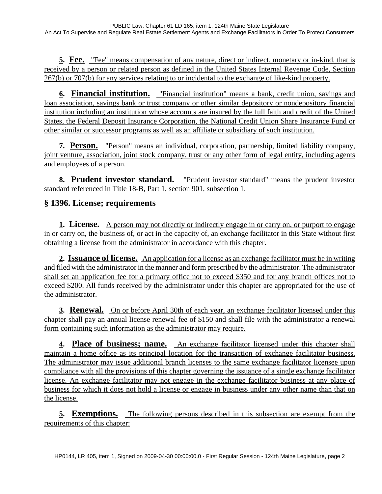**5. Fee.** "Fee" means compensation of any nature, direct or indirect, monetary or in-kind, that is received by a person or related person as defined in the United States Internal Revenue Code, Section 267(b) or 707(b) for any services relating to or incidental to the exchange of like-kind property.

**6. Financial institution.** "Financial institution" means a bank, credit union, savings and loan association, savings bank or trust company or other similar depository or nondepository financial institution including an institution whose accounts are insured by the full faith and credit of the United States, the Federal Deposit Insurance Corporation, the National Credit Union Share Insurance Fund or other similar or successor programs as well as an affiliate or subsidiary of such institution.

**7. Person.** "Person" means an individual, corporation, partnership, limited liability company, joint venture, association, joint stock company, trust or any other form of legal entity, including agents and employees of a person.

**8. Prudent investor standard.** "Prudent investor standard" means the prudent investor standard referenced in Title 18-B, Part 1, section 901, subsection 1.

## **§ 1396. License; requirements**

**1. License.** A person may not directly or indirectly engage in or carry on, or purport to engage in or carry on, the business of, or act in the capacity of, an exchange facilitator in this State without first obtaining a license from the administrator in accordance with this chapter.

**2. Issuance of license.** An application for a license as an exchange facilitator must be in writing and filed with the administrator in the manner and form prescribed by the administrator. The administrator shall set an application fee for a primary office not to exceed \$350 and for any branch offices not to exceed \$200. All funds received by the administrator under this chapter are appropriated for the use of the administrator.

**3. Renewal.** On or before April 30th of each year, an exchange facilitator licensed under this chapter shall pay an annual license renewal fee of \$150 and shall file with the administrator a renewal form containing such information as the administrator may require.

**4. Place of business; name.** An exchange facilitator licensed under this chapter shall maintain a home office as its principal location for the transaction of exchange facilitator business. The administrator may issue additional branch licenses to the same exchange facilitator licensee upon compliance with all the provisions of this chapter governing the issuance of a single exchange facilitator license. An exchange facilitator may not engage in the exchange facilitator business at any place of business for which it does not hold a license or engage in business under any other name than that on the license.

**5. Exemptions.** The following persons described in this subsection are exempt from the requirements of this chapter: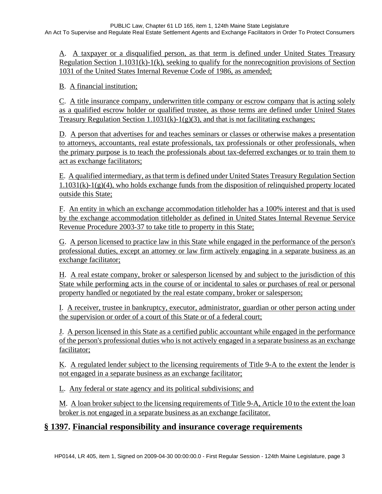A. A taxpayer or a disqualified person, as that term is defined under United States Treasury Regulation Section 1.1031(k)-1(k), seeking to qualify for the nonrecognition provisions of Section 1031 of the United States Internal Revenue Code of 1986, as amended;

B. A financial institution;

C. A title insurance company, underwritten title company or escrow company that is acting solely as a qualified escrow holder or qualified trustee, as those terms are defined under United States Treasury Regulation Section  $1.1031(k)-1(g)(3)$ , and that is not facilitating exchanges;

D. A person that advertises for and teaches seminars or classes or otherwise makes a presentation to attorneys, accountants, real estate professionals, tax professionals or other professionals, when the primary purpose is to teach the professionals about tax-deferred exchanges or to train them to act as exchange facilitators;

E. A qualified intermediary, as that term is defined under United States Treasury Regulation Section  $1.1031(k)-1(g)(4)$ , who holds exchange funds from the disposition of relinquished property located outside this State;

F. An entity in which an exchange accommodation titleholder has a 100% interest and that is used by the exchange accommodation titleholder as defined in United States Internal Revenue Service Revenue Procedure 2003-37 to take title to property in this State;

G. A person licensed to practice law in this State while engaged in the performance of the person's professional duties, except an attorney or law firm actively engaging in a separate business as an exchange facilitator;

H. A real estate company, broker or salesperson licensed by and subject to the jurisdiction of this State while performing acts in the course of or incidental to sales or purchases of real or personal property handled or negotiated by the real estate company, broker or salesperson;

I. A receiver, trustee in bankruptcy, executor, administrator, guardian or other person acting under the supervision or order of a court of this State or of a federal court;

J. A person licensed in this State as a certified public accountant while engaged in the performance of the person's professional duties who is not actively engaged in a separate business as an exchange facilitator;

K. A regulated lender subject to the licensing requirements of Title 9-A to the extent the lender is not engaged in a separate business as an exchange facilitator;

L. Any federal or state agency and its political subdivisions; and

M. A loan broker subject to the licensing requirements of Title 9-A, Article 10 to the extent the loan broker is not engaged in a separate business as an exchange facilitator.

## **§ 1397. Financial responsibility and insurance coverage requirements**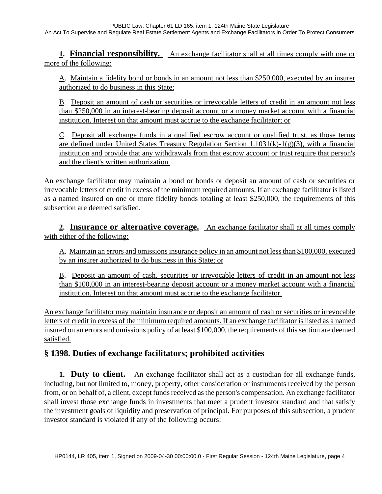**1. Financial responsibility.** An exchange facilitator shall at all times comply with one or more of the following:

A. Maintain a fidelity bond or bonds in an amount not less than \$250,000, executed by an insurer authorized to do business in this State;

B. Deposit an amount of cash or securities or irrevocable letters of credit in an amount not less than \$250,000 in an interest-bearing deposit account or a money market account with a financial institution. Interest on that amount must accrue to the exchange facilitator; or

C. Deposit all exchange funds in a qualified escrow account or qualified trust, as those terms are defined under United States Treasury Regulation Section 1.1031(k)-1(g)(3), with a financial institution and provide that any withdrawals from that escrow account or trust require that person's and the client's written authorization.

An exchange facilitator may maintain a bond or bonds or deposit an amount of cash or securities or irrevocable letters of credit in excess of the minimum required amounts. If an exchange facilitator is listed as a named insured on one or more fidelity bonds totaling at least \$250,000, the requirements of this subsection are deemed satisfied.

**2. Insurance or alternative coverage.** An exchange facilitator shall at all times comply with either of the following:

A. Maintain an errors and omissions insurance policy in an amount not less than \$100,000, executed by an insurer authorized to do business in this State; or

B. Deposit an amount of cash, securities or irrevocable letters of credit in an amount not less than \$100,000 in an interest-bearing deposit account or a money market account with a financial institution. Interest on that amount must accrue to the exchange facilitator.

An exchange facilitator may maintain insurance or deposit an amount of cash or securities or irrevocable letters of credit in excess of the minimum required amounts. If an exchange facilitator is listed as a named insured on an errors and omissions policy of at least \$100,000, the requirements of this section are deemed satisfied.

## **§ 1398. Duties of exchange facilitators; prohibited activities**

**1. Duty to client.** An exchange facilitator shall act as a custodian for all exchange funds, including, but not limited to, money, property, other consideration or instruments received by the person from, or on behalf of, a client, except funds received as the person's compensation. An exchange facilitator shall invest those exchange funds in investments that meet a prudent investor standard and that satisfy the investment goals of liquidity and preservation of principal. For purposes of this subsection, a prudent investor standard is violated if any of the following occurs: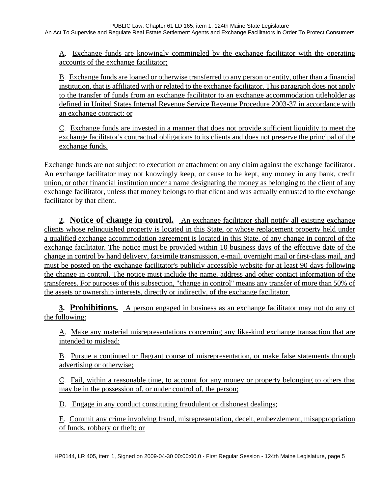A. Exchange funds are knowingly commingled by the exchange facilitator with the operating accounts of the exchange facilitator;

B. Exchange funds are loaned or otherwise transferred to any person or entity, other than a financial institution, that is affiliated with or related to the exchange facilitator. This paragraph does not apply to the transfer of funds from an exchange facilitator to an exchange accommodation titleholder as defined in United States Internal Revenue Service Revenue Procedure 2003-37 in accordance with an exchange contract; or

C. Exchange funds are invested in a manner that does not provide sufficient liquidity to meet the exchange facilitator's contractual obligations to its clients and does not preserve the principal of the exchange funds.

Exchange funds are not subject to execution or attachment on any claim against the exchange facilitator. An exchange facilitator may not knowingly keep, or cause to be kept, any money in any bank, credit union, or other financial institution under a name designating the money as belonging to the client of any exchange facilitator, unless that money belongs to that client and was actually entrusted to the exchange facilitator by that client.

**2. Notice of change in control.** An exchange facilitator shall notify all existing exchange clients whose relinquished property is located in this State, or whose replacement property held under a qualified exchange accommodation agreement is located in this State, of any change in control of the exchange facilitator. The notice must be provided within 10 business days of the effective date of the change in control by hand delivery, facsimile transmission, e-mail, overnight mail or first-class mail, and must be posted on the exchange facilitator's publicly accessible website for at least 90 days following the change in control. The notice must include the name, address and other contact information of the transferees. For purposes of this subsection, "change in control" means any transfer of more than 50% of the assets or ownership interests, directly or indirectly, of the exchange facilitator.

**3. Prohibitions.** A person engaged in business as an exchange facilitator may not do any of the following:

A. Make any material misrepresentations concerning any like-kind exchange transaction that are intended to mislead;

B. Pursue a continued or flagrant course of misrepresentation, or make false statements through advertising or otherwise;

C. Fail, within a reasonable time, to account for any money or property belonging to others that may be in the possession of, or under control of, the person;

D. Engage in any conduct constituting fraudulent or dishonest dealings;

E. Commit any crime involving fraud, misrepresentation, deceit, embezzlement, misappropriation of funds, robbery or theft; or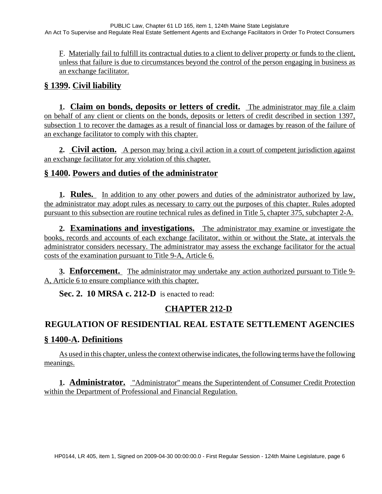F. Materially fail to fulfill its contractual duties to a client to deliver property or funds to the client, unless that failure is due to circumstances beyond the control of the person engaging in business as an exchange facilitator.

# **§ 1399. Civil liability**

**1. Claim on bonds, deposits or letters of credit.** The administrator may file a claim on behalf of any client or clients on the bonds, deposits or letters of credit described in section 1397, subsection 1 to recover the damages as a result of financial loss or damages by reason of the failure of an exchange facilitator to comply with this chapter.

**2. Civil action.** A person may bring a civil action in a court of competent jurisdiction against an exchange facilitator for any violation of this chapter.

## **§ 1400. Powers and duties of the administrator**

**1. Rules.** In addition to any other powers and duties of the administrator authorized by law, the administrator may adopt rules as necessary to carry out the purposes of this chapter. Rules adopted pursuant to this subsection are routine technical rules as defined in Title 5, chapter 375, subchapter 2-A.

**2. Examinations and investigations.** The administrator may examine or investigate the books, records and accounts of each exchange facilitator, within or without the State, at intervals the administrator considers necessary. The administrator may assess the exchange facilitator for the actual costs of the examination pursuant to Title 9-A, Article 6.

**3. Enforcement.** The administrator may undertake any action authorized pursuant to Title 9- A, Article 6 to ensure compliance with this chapter.

**Sec. 2. 10 MRSA c. 212-D** is enacted to read:

# **CHAPTER 212-D**

## **REGULATION OF RESIDENTIAL REAL ESTATE SETTLEMENT AGENCIES**

### **§ 1400-A. Definitions**

As used in this chapter, unless the context otherwise indicates, the following terms have the following meanings.

**1. Administrator.** "Administrator" means the Superintendent of Consumer Credit Protection within the Department of Professional and Financial Regulation.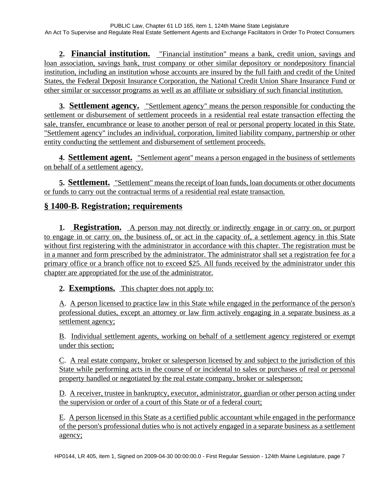**2. Financial institution.** "Financial institution" means a bank, credit union, savings and loan association, savings bank, trust company or other similar depository or nondepository financial institution, including an institution whose accounts are insured by the full faith and credit of the United States, the Federal Deposit Insurance Corporation, the National Credit Union Share Insurance Fund or other similar or successor programs as well as an affiliate or subsidiary of such financial institution.

**3. Settlement agency.** "Settlement agency" means the person responsible for conducting the settlement or disbursement of settlement proceeds in a residential real estate transaction effecting the sale, transfer, encumbrance or lease to another person of real or personal property located in this State. "Settlement agency" includes an individual, corporation, limited liability company, partnership or other entity conducting the settlement and disbursement of settlement proceeds.

**4. Settlement agent.** "Settlement agent" means a person engaged in the business of settlements on behalf of a settlement agency.

**5. Settlement.** "Settlement" means the receipt of loan funds, loan documents or other documents or funds to carry out the contractual terms of a residential real estate transaction.

## **§ 1400-B. Registration; requirements**

**1. Registration.** A person may not directly or indirectly engage in or carry on, or purport to engage in or carry on, the business of, or act in the capacity of, a settlement agency in this State without first registering with the administrator in accordance with this chapter. The registration must be in a manner and form prescribed by the administrator. The administrator shall set a registration fee for a primary office or a branch office not to exceed \$25. All funds received by the administrator under this chapter are appropriated for the use of the administrator.

#### **2. Exemptions.** This chapter does not apply to:

A. A person licensed to practice law in this State while engaged in the performance of the person's professional duties, except an attorney or law firm actively engaging in a separate business as a settlement agency;

B. Individual settlement agents, working on behalf of a settlement agency registered or exempt under this section;

C. A real estate company, broker or salesperson licensed by and subject to the jurisdiction of this State while performing acts in the course of or incidental to sales or purchases of real or personal property handled or negotiated by the real estate company, broker or salesperson;

D. A receiver, trustee in bankruptcy, executor, administrator, guardian or other person acting under the supervision or order of a court of this State or of a federal court;

E. A person licensed in this State as a certified public accountant while engaged in the performance of the person's professional duties who is not actively engaged in a separate business as a settlement agency;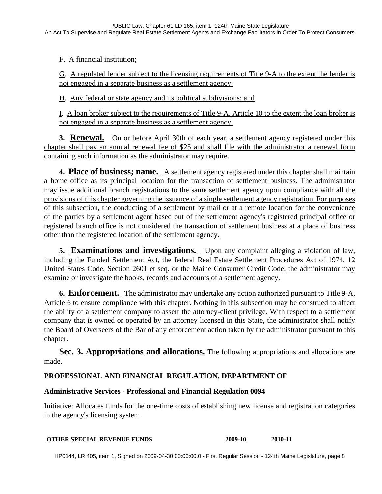F. A financial institution;

G. A regulated lender subject to the licensing requirements of Title 9-A to the extent the lender is not engaged in a separate business as a settlement agency;

H. Any federal or state agency and its political subdivisions; and

I. A loan broker subject to the requirements of Title 9-A, Article 10 to the extent the loan broker is not engaged in a separate business as a settlement agency.

**3. Renewal.** On or before April 30th of each year, a settlement agency registered under this chapter shall pay an annual renewal fee of \$25 and shall file with the administrator a renewal form containing such information as the administrator may require.

**4. Place of business; name.** A settlement agency registered under this chapter shall maintain a home office as its principal location for the transaction of settlement business. The administrator may issue additional branch registrations to the same settlement agency upon compliance with all the provisions of this chapter governing the issuance of a single settlement agency registration. For purposes of this subsection, the conducting of a settlement by mail or at a remote location for the convenience of the parties by a settlement agent based out of the settlement agency's registered principal office or registered branch office is not considered the transaction of settlement business at a place of business other than the registered location of the settlement agency.

**5. Examinations and investigations.** Upon any complaint alleging a violation of law, including the Funded Settlement Act, the federal Real Estate Settlement Procedures Act of 1974, 12 United States Code, Section 2601 et seq. or the Maine Consumer Credit Code, the administrator may examine or investigate the books, records and accounts of a settlement agency.

**6. Enforcement.** The administrator may undertake any action authorized pursuant to Title 9-A, Article 6 to ensure compliance with this chapter. Nothing in this subsection may be construed to affect the ability of a settlement company to assert the attorney-client privilege. With respect to a settlement company that is owned or operated by an attorney licensed in this State, the administrator shall notify the Board of Overseers of the Bar of any enforcement action taken by the administrator pursuant to this chapter.

**Sec. 3. Appropriations and allocations.** The following appropriations and allocations are made.

#### **PROFESSIONAL AND FINANCIAL REGULATION, DEPARTMENT OF**

#### **Administrative Services - Professional and Financial Regulation 0094**

Initiative: Allocates funds for the one-time costs of establishing new license and registration categories in the agency's licensing system.

#### **OTHER SPECIAL REVENUE FUNDS 2009-10 2010-11**

HP0144, LR 405, item 1, Signed on 2009-04-30 00:00:00.0 - First Regular Session - 124th Maine Legislature, page 8